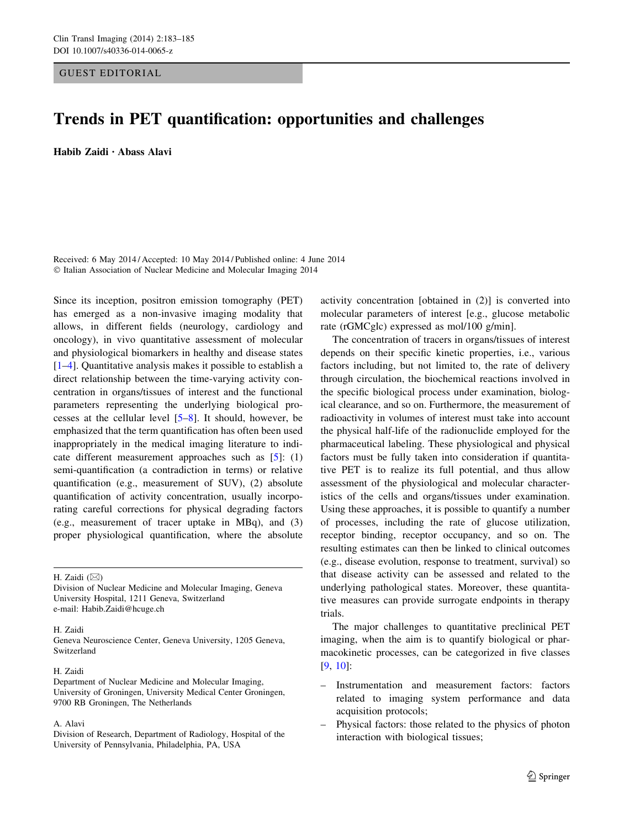## GUEST EDITORIAL

# Trends in PET quantification: opportunities and challenges

Habib Zaidi • Abass Alavi

Received: 6 May 2014 / Accepted: 10 May 2014 / Published online: 4 June 2014 - Italian Association of Nuclear Medicine and Molecular Imaging 2014

Since its inception, positron emission tomography (PET) has emerged as a non-invasive imaging modality that allows, in different fields (neurology, cardiology and oncology), in vivo quantitative assessment of molecular and physiological biomarkers in healthy and disease states [\[1–4](#page-1-0)]. Quantitative analysis makes it possible to establish a direct relationship between the time-varying activity concentration in organs/tissues of interest and the functional parameters representing the underlying biological processes at the cellular level [[5–8\]](#page-1-0). It should, however, be emphasized that the term quantification has often been used inappropriately in the medical imaging literature to indicate different measurement approaches such as [\[5](#page-1-0)]: (1) semi-quantification (a contradiction in terms) or relative quantification (e.g., measurement of SUV), (2) absolute quantification of activity concentration, usually incorporating careful corrections for physical degrading factors (e.g., measurement of tracer uptake in MBq), and (3) proper physiological quantification, where the absolute

H. Zaidi  $(\boxtimes)$ 

Division of Nuclear Medicine and Molecular Imaging, Geneva University Hospital, 1211 Geneva, Switzerland e-mail: Habib.Zaidi@hcuge.ch

# H. Zaidi

Geneva Neuroscience Center, Geneva University, 1205 Geneva, Switzerland

### H. Zaidi

Department of Nuclear Medicine and Molecular Imaging, University of Groningen, University Medical Center Groningen, 9700 RB Groningen, The Netherlands

#### A. Alavi

Division of Research, Department of Radiology, Hospital of the University of Pennsylvania, Philadelphia, PA, USA

activity concentration [obtained in (2)] is converted into molecular parameters of interest [e.g., glucose metabolic rate (rGMCglc) expressed as mol/100 g/min].

The concentration of tracers in organs/tissues of interest depends on their specific kinetic properties, i.e., various factors including, but not limited to, the rate of delivery through circulation, the biochemical reactions involved in the specific biological process under examination, biological clearance, and so on. Furthermore, the measurement of radioactivity in volumes of interest must take into account the physical half-life of the radionuclide employed for the pharmaceutical labeling. These physiological and physical factors must be fully taken into consideration if quantitative PET is to realize its full potential, and thus allow assessment of the physiological and molecular characteristics of the cells and organs/tissues under examination. Using these approaches, it is possible to quantify a number of processes, including the rate of glucose utilization, receptor binding, receptor occupancy, and so on. The resulting estimates can then be linked to clinical outcomes (e.g., disease evolution, response to treatment, survival) so that disease activity can be assessed and related to the underlying pathological states. Moreover, these quantitative measures can provide surrogate endpoints in therapy trials.

The major challenges to quantitative preclinical PET imaging, when the aim is to quantify biological or pharmacokinetic processes, can be categorized in five classes [\[9](#page-2-0), [10](#page-2-0)]:

- Instrumentation and measurement factors: factors related to imaging system performance and data acquisition protocols;
- Physical factors: those related to the physics of photon interaction with biological tissues;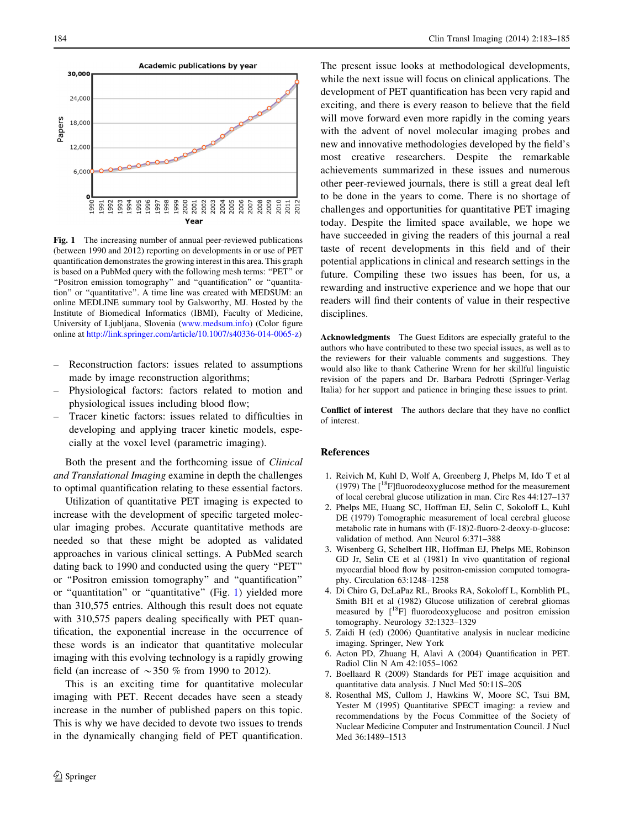<span id="page-1-0"></span>

Fig. 1 The increasing number of annual peer-reviewed publications (between 1990 and 2012) reporting on developments in or use of PET quantification demonstrates the growing interest in this area. This graph is based on a PubMed query with the following mesh terms: ''PET'' or ''Positron emission tomography'' and ''quantification'' or ''quantitation'' or ''quantitative''. A time line was created with MEDSUM: an online MEDLINE summary tool by Galsworthy, MJ. Hosted by the Institute of Biomedical Informatics (IBMI), Faculty of Medicine, University of Ljubljana, Slovenia [\(www.medsum.info](http://www.medsum.info)) (Color figure online at <http://link.springer.com/article/10.1007/s40336-014-0065-z>)

- Reconstruction factors: issues related to assumptions made by image reconstruction algorithms;
- Physiological factors: factors related to motion and physiological issues including blood flow;
- Tracer kinetic factors: issues related to difficulties in developing and applying tracer kinetic models, especially at the voxel level (parametric imaging).

Both the present and the forthcoming issue of Clinical and Translational Imaging examine in depth the challenges to optimal quantification relating to these essential factors.

Utilization of quantitative PET imaging is expected to increase with the development of specific targeted molecular imaging probes. Accurate quantitative methods are needed so that these might be adopted as validated approaches in various clinical settings. A PubMed search dating back to 1990 and conducted using the query ''PET'' or ''Positron emission tomography'' and ''quantification'' or ''quantitation'' or ''quantitative'' (Fig. 1) yielded more than 310,575 entries. Although this result does not equate with 310,575 papers dealing specifically with PET quantification, the exponential increase in the occurrence of these words is an indicator that quantitative molecular imaging with this evolving technology is a rapidly growing field (an increase of  $\sim$  350 % from 1990 to 2012).

This is an exciting time for quantitative molecular imaging with PET. Recent decades have seen a steady increase in the number of published papers on this topic. This is why we have decided to devote two issues to trends in the dynamically changing field of PET quantification.

The present issue looks at methodological developments, while the next issue will focus on clinical applications. The development of PET quantification has been very rapid and exciting, and there is every reason to believe that the field will move forward even more rapidly in the coming years with the advent of novel molecular imaging probes and new and innovative methodologies developed by the field's most creative researchers. Despite the remarkable achievements summarized in these issues and numerous other peer-reviewed journals, there is still a great deal left to be done in the years to come. There is no shortage of challenges and opportunities for quantitative PET imaging today. Despite the limited space available, we hope we have succeeded in giving the readers of this journal a real taste of recent developments in this field and of their potential applications in clinical and research settings in the future. Compiling these two issues has been, for us, a rewarding and instructive experience and we hope that our readers will find their contents of value in their respective disciplines.

Acknowledgments The Guest Editors are especially grateful to the authors who have contributed to these two special issues, as well as to the reviewers for their valuable comments and suggestions. They would also like to thank Catherine Wrenn for her skillful linguistic revision of the papers and Dr. Barbara Pedrotti (Springer-Verlag Italia) for her support and patience in bringing these issues to print.

Conflict of interest The authors declare that they have no conflict of interest.

#### References

- 1. Reivich M, Kuhl D, Wolf A, Greenberg J, Phelps M, Ido T et al (1979) The  $[18F]$ fluorodeoxyglucose method for the measurement of local cerebral glucose utilization in man. Circ Res 44:127–137
- 2. Phelps ME, Huang SC, Hoffman EJ, Selin C, Sokoloff L, Kuhl DE (1979) Tomographic measurement of local cerebral glucose metabolic rate in humans with (F-18)2-fluoro-2-deoxy-D-glucose: validation of method. Ann Neurol 6:371–388
- 3. Wisenberg G, Schelbert HR, Hoffman EJ, Phelps ME, Robinson GD Jr, Selin CE et al (1981) In vivo quantitation of regional myocardial blood flow by positron-emission computed tomography. Circulation 63:1248–1258
- 4. Di Chiro G, DeLaPaz RL, Brooks RA, Sokoloff L, Kornblith PL, Smith BH et al (1982) Glucose utilization of cerebral gliomas measured by  $[18F]$  fluorodeoxyglucose and positron emission tomography. Neurology 32:1323–1329
- 5. Zaidi H (ed) (2006) Quantitative analysis in nuclear medicine imaging. Springer, New York
- 6. Acton PD, Zhuang H, Alavi A (2004) Quantification in PET. Radiol Clin N Am 42:1055–1062
- 7. Boellaard R (2009) Standards for PET image acquisition and quantitative data analysis. J Nucl Med 50:11S–20S
- 8. Rosenthal MS, Cullom J, Hawkins W, Moore SC, Tsui BM, Yester M (1995) Quantitative SPECT imaging: a review and recommendations by the Focus Committee of the Society of Nuclear Medicine Computer and Instrumentation Council. J Nucl Med 36:1489–1513